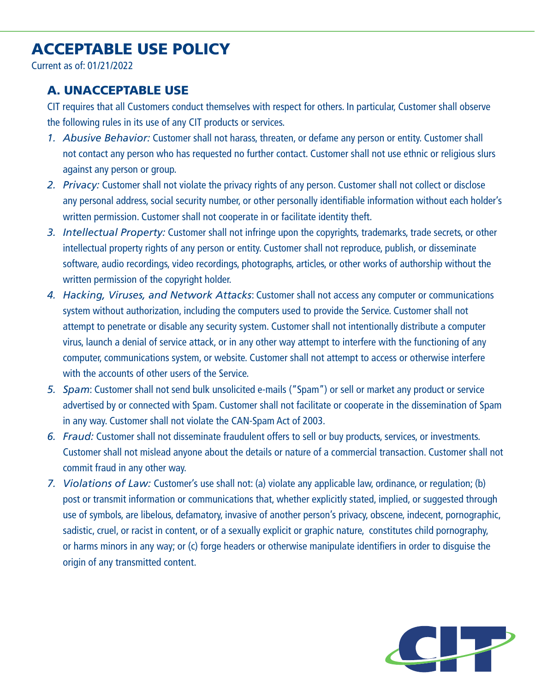## ACCEPTABLE USE POLICY

Current as of: 01/21/2022

## A. UNACCEPTABLE USE

CIT requires that all Customers conduct themselves with respect for others. In particular, Customer shall observe the following rules in its use of any CIT products or services.

- *1. Abusive Behavior:* Customer shall not harass, threaten, or defame any person or entity. Customer shall not contact any person who has requested no further contact. Customer shall not use ethnic or religious slurs against any person or group.
- *2. Privacy:* Customer shall not violate the privacy rights of any person. Customer shall not collect or disclose any personal address, social security number, or other personally identifiable information without each holder's written permission. Customer shall not cooperate in or facilitate identity theft.
- *3. Intellectual Property:* Customer shall not infringe upon the copyrights, trademarks, trade secrets, or other intellectual property rights of any person or entity. Customer shall not reproduce, publish, or disseminate software, audio recordings, video recordings, photographs, articles, or other works of authorship without the written permission of the copyright holder.
- *4. Hacking, Viruses, and Network Attacks*: Customer shall not access any computer or communications system without authorization, including the computers used to provide the Service. Customer shall not attempt to penetrate or disable any security system. Customer shall not intentionally distribute a computer virus, launch a denial of service attack, or in any other way attempt to interfere with the functioning of any computer, communications system, or website. Customer shall not attempt to access or otherwise interfere with the accounts of other users of the Service.
- *5. Spam*: Customer shall not send bulk unsolicited e-mails ("Spam") or sell or market any product or service advertised by or connected with Spam. Customer shall not facilitate or cooperate in the dissemination of Spam in any way. Customer shall not violate the CAN-Spam Act of 2003.
- *6. Fraud:* Customer shall not disseminate fraudulent offers to sell or buy products, services, or investments. Customer shall not mislead anyone about the details or nature of a commercial transaction. Customer shall not commit fraud in any other way.
- *7. Violations of Law:* Customer's use shall not: (a) violate any applicable law, ordinance, or regulation; (b) post or transmit information or communications that, whether explicitly stated, implied, or suggested through use of symbols, are libelous, defamatory, invasive of another person's privacy, obscene, indecent, pornographic, sadistic, cruel, or racist in content, or of a sexually explicit or graphic nature, constitutes child pornography, or harms minors in any way; or (c) forge headers or otherwise manipulate identifiers in order to disguise the origin of any transmitted content.